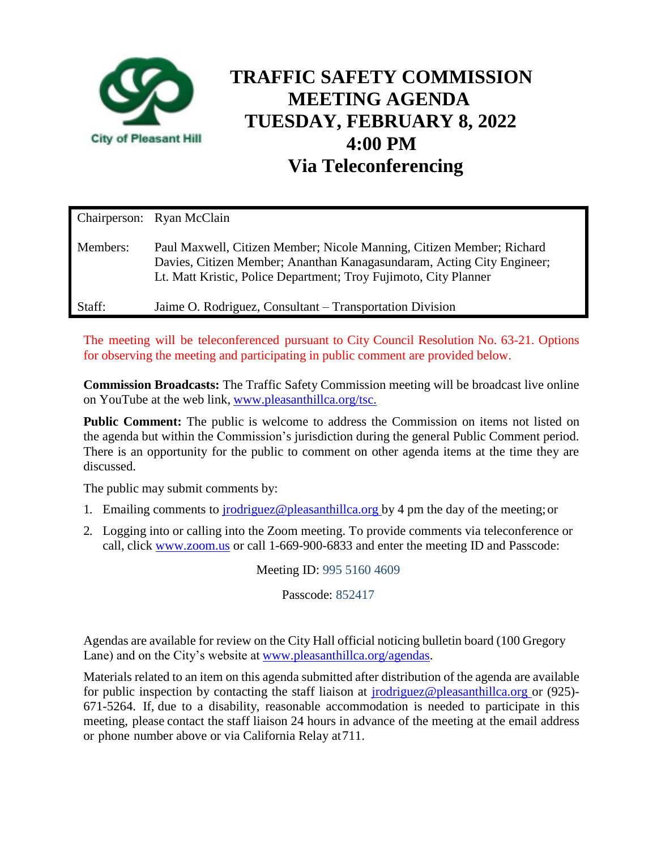

# **TRAFFIC SAFETY COMMISSION MEETING AGENDA TUESDAY, FEBRUARY 8, 2022 4:00 PM Via Teleconferencing**

|          | Chairperson: Ryan McClain                                                                                                                                                                                           |
|----------|---------------------------------------------------------------------------------------------------------------------------------------------------------------------------------------------------------------------|
| Members: | Paul Maxwell, Citizen Member; Nicole Manning, Citizen Member; Richard<br>Davies, Citizen Member; Ananthan Kanagasundaram, Acting City Engineer;<br>Lt. Matt Kristic, Police Department; Troy Fujimoto, City Planner |
| Staff:   | Jaime O. Rodriguez, Consultant – Transportation Division                                                                                                                                                            |

The meeting will be teleconferenced pursuant to City Council Resolution No. 63-21. Options for observing the meeting and participating in public comment are provided below.

**Commission Broadcasts:** The Traffic Safety Commission meeting will be broadcast live online on YouTube at the web link, [www.pleasanthillca.org/tsc.](http://www.pleasanthillca.org/tsc.)

**Public Comment:** The public is welcome to address the Commission on items not listed on the agenda but within the Commission's jurisdiction during the general Public Comment period. There is an opportunity for the public to comment on other agenda items at the time they are discussed.

The public may submit comments by:

- 1. Emailing comments to [jrodriguez@pleasanthillca.org b](mailto:jrodriguez@pleasanthillca.org)y 4 pm the day of the meeting;or
- 2. Logging into or calling into the Zoom meeting. To provide comments via teleconference or call, click www.zoom.us or call 1-669-900-6833 and enter the meeting ID and Passcode:

Meeting ID: 995 5160 4609

Passcode: 852417

Agendas are available for review on the City Hall official noticing bulletin board (100 Gregory Lane) and on the City's website at [www.pleasanthillca.org/agendas.](http://www.pleasanthillca.org/agendas)

Materials related to an item on this agenda submitted after distribution of the agenda are available for public inspection by contacting the staff liaison at [jrodriguez@pleasanthillca.org o](mailto:jrodriguez@pleasanthillca.org)r (925)- 671-5264. If, due to a disability, reasonable accommodation is needed to participate in this meeting, please contact the staff liaison 24 hours in advance of the meeting at the email address or phone number above or via California Relay at711.